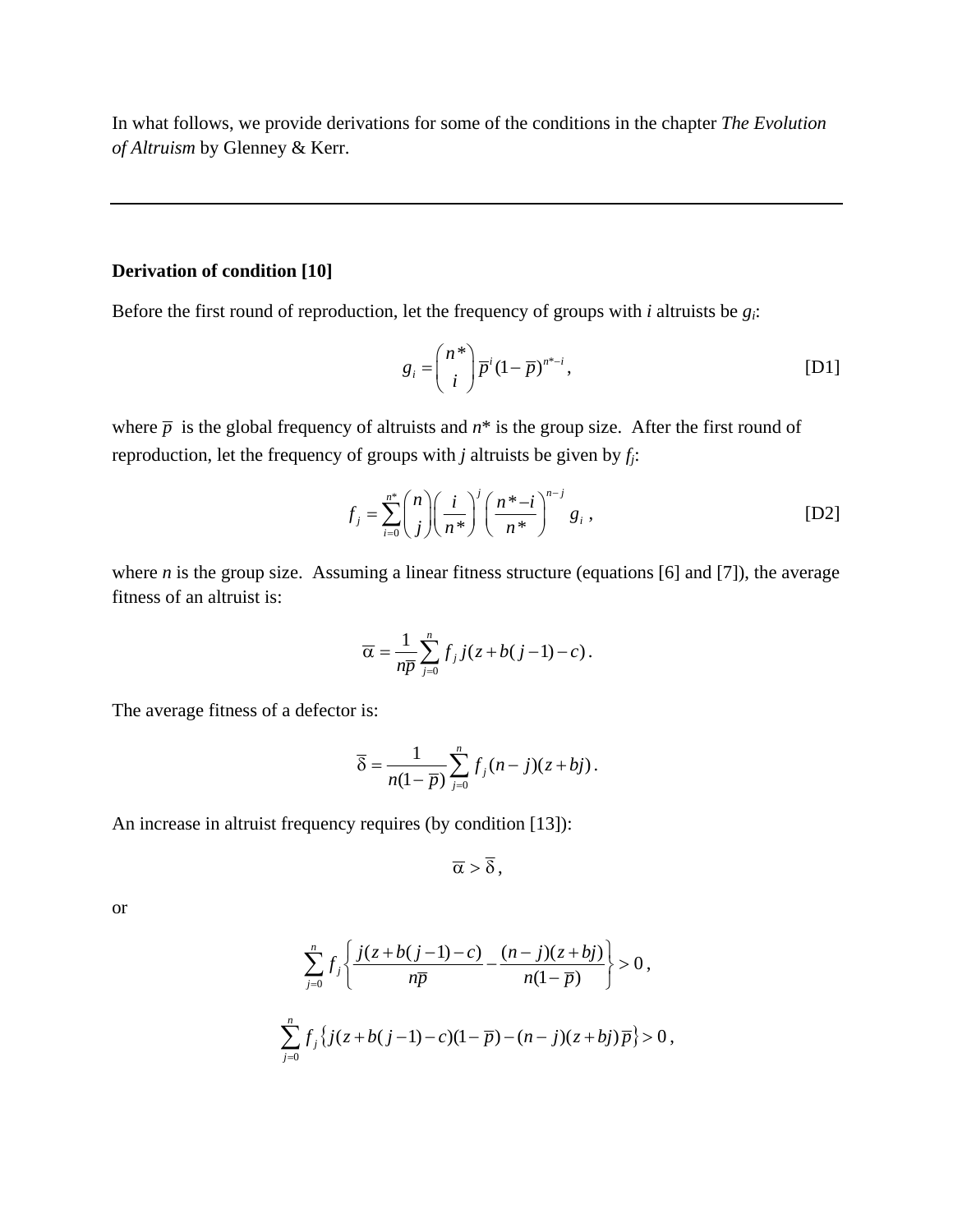In what follows, we provide derivations for some of the conditions in the chapter *The Evolution of Altruism* by Glenney & Kerr.

## **Derivation of condition [10]**

Before the first round of reproduction, let the frequency of groups with *i* altruists be *gi*:

$$
g_i = \binom{n^*}{i} \overline{p}^i (1 - \overline{p})^{n^*-i},\tag{D1}
$$

where  $\bar{p}$  is the global frequency of altruists and  $n^*$  is the group size. After the first round of reproduction, let the frequency of groups with *j* altruists be given by *fj*:

$$
f_j = \sum_{i=0}^{n^*} {n \choose j} \left(\frac{i}{n^*}\right)^j \left(\frac{n^*-i}{n^*}\right)^{n-j} g_i,
$$
 [D2]

where *n* is the group size. Assuming a linear fitness structure (equations [6] and [7]), the average fitness of an altruist is:

$$
\overline{\alpha} = \frac{1}{n\overline{p}} \sum_{j=0}^{n} f_j j(z + b(j-1) - c).
$$

The average fitness of a defector is:

$$
\overline{\delta} = \frac{1}{n(1-\overline{p})} \sum_{j=0}^{n} f_j(n-j)(z+bj).
$$

An increase in altruist frequency requires (by condition [13]):

$$
\overline{\alpha} > \overline{\delta}\,,
$$

or

$$
\sum_{j=0}^{n} f_j \left\{ \frac{j(z+b(j-1)-c)}{n\overline{p}} - \frac{(n-j)(z+bj)}{n(1-\overline{p})} \right\} > 0,
$$
  

$$
\sum_{j=0}^{n} f_j \left\{ j(z+b(j-1)-c)(1-\overline{p}) - (n-j)(z+bj)\overline{p} \right\} > 0,
$$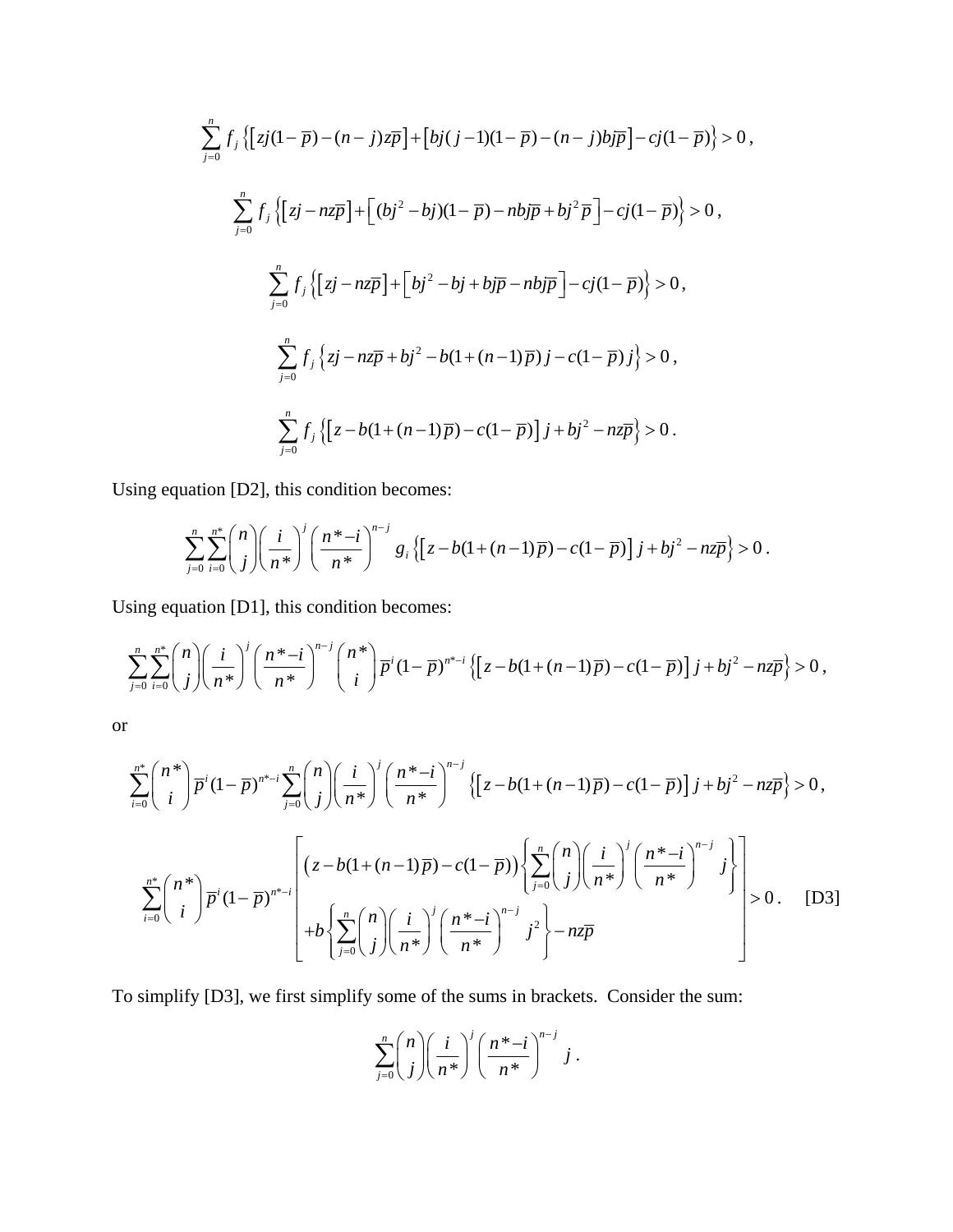$$
\sum_{j=0}^{n} f_{j} \left\{ \left[ zj(1-\overline{p}) - (n-j)z\overline{p} \right] + \left[ bj(j-1)(1-\overline{p}) - (n-j)bj\overline{p} \right] - cj(1-\overline{p}) \right\} > 0,
$$
\n
$$
\sum_{j=0}^{n} f_{j} \left\{ \left[ zj - nz\overline{p} \right] + \left[ (bj^{2} - bj)(1-\overline{p}) - nbj\overline{p} + bj^{2}\overline{p} \right] - cj(1-\overline{p}) \right\} > 0,
$$
\n
$$
\sum_{j=0}^{n} f_{j} \left\{ \left[ zj - nz\overline{p} \right] + \left[ bj^{2} - bj + bj\overline{p} - nbj\overline{p} \right] - cj(1-\overline{p}) \right\} > 0,
$$
\n
$$
\sum_{j=0}^{n} f_{j} \left\{ zj - nz\overline{p} + bj^{2} - b(1 + (n-1)\overline{p})j - c(1-\overline{p})j \right\} > 0,
$$
\n
$$
\sum_{j=0}^{n} f_{j} \left\{ \left[ z - b(1 + (n-1)\overline{p}) - c(1-\overline{p}) \right] j + bj^{2} - nz\overline{p} \right\} > 0.
$$

Using equation [D2], this condition becomes:

$$
\sum_{j=0}^n \sum_{i=0}^{n^*} {n \choose j} \left( \frac{i}{n^*} \right)^j \left( \frac{n^* - i}{n^*} \right)^{n-j} g_i \left\{ \left[ z - b(1 + (n-1)\overline{p}) - c(1-\overline{p}) \right] j + bj^2 - nz\overline{p} \right\} > 0.
$$

Using equation [D1], this condition becomes:

$$
\sum_{j=0}^n \sum_{i=0}^{n^*} {n \choose j} \left( \frac{i}{n^*} \right)^j \left( \frac{n^* - i}{n^*} \right)^{n-j} {n^* \choose i} \overline{p}^i (1 - \overline{p})^{n^* - i} \left\{ \left[ z - b(1 + (n-1)\overline{p}) - c(1 - \overline{p}) \right] j + bj^2 - nz\overline{p} \right\} > 0,
$$

or

$$
\sum_{i=0}^{n^{*}} {n^{*} \choose i} \overline{p}^{i} (1 - \overline{p})^{n^{*}-i} \sum_{j=0}^{n} {n \choose j} \left(\frac{i}{n^{*}}\right)^{j} \left(\frac{n^{*}-i}{n^{*}}\right)^{n-j} \left\{ \left[z - b(1 + (n-1)\overline{p}) - c(1-\overline{p})\right] j + bj^{2} - nz\overline{p} \right\} > 0,
$$
\n
$$
\sum_{i=0}^{n^{*}} {n^{*} \choose i} \overline{p}^{i} (1 - \overline{p})^{n^{*}-i} \left[ \left(z - b(1 + (n-1)\overline{p}) - c(1-\overline{p})\right) \left\{ \sum_{j=0}^{n} {n \choose j} \left(\frac{i}{n^{*}}\right)^{j} \left(\frac{n^{*}-i}{n^{*}}\right)^{n-j} j^{2} \right\} \right] > 0.
$$
\n[D3]

To simplify [D3], we first simplify some of the sums in brackets. Consider the sum:

$$
\sum_{j=0}^n \binom{n}{j} \left(\frac{i}{n^*}\right)^j \left(\frac{n^*-i}{n^*}\right)^{n-j} j.
$$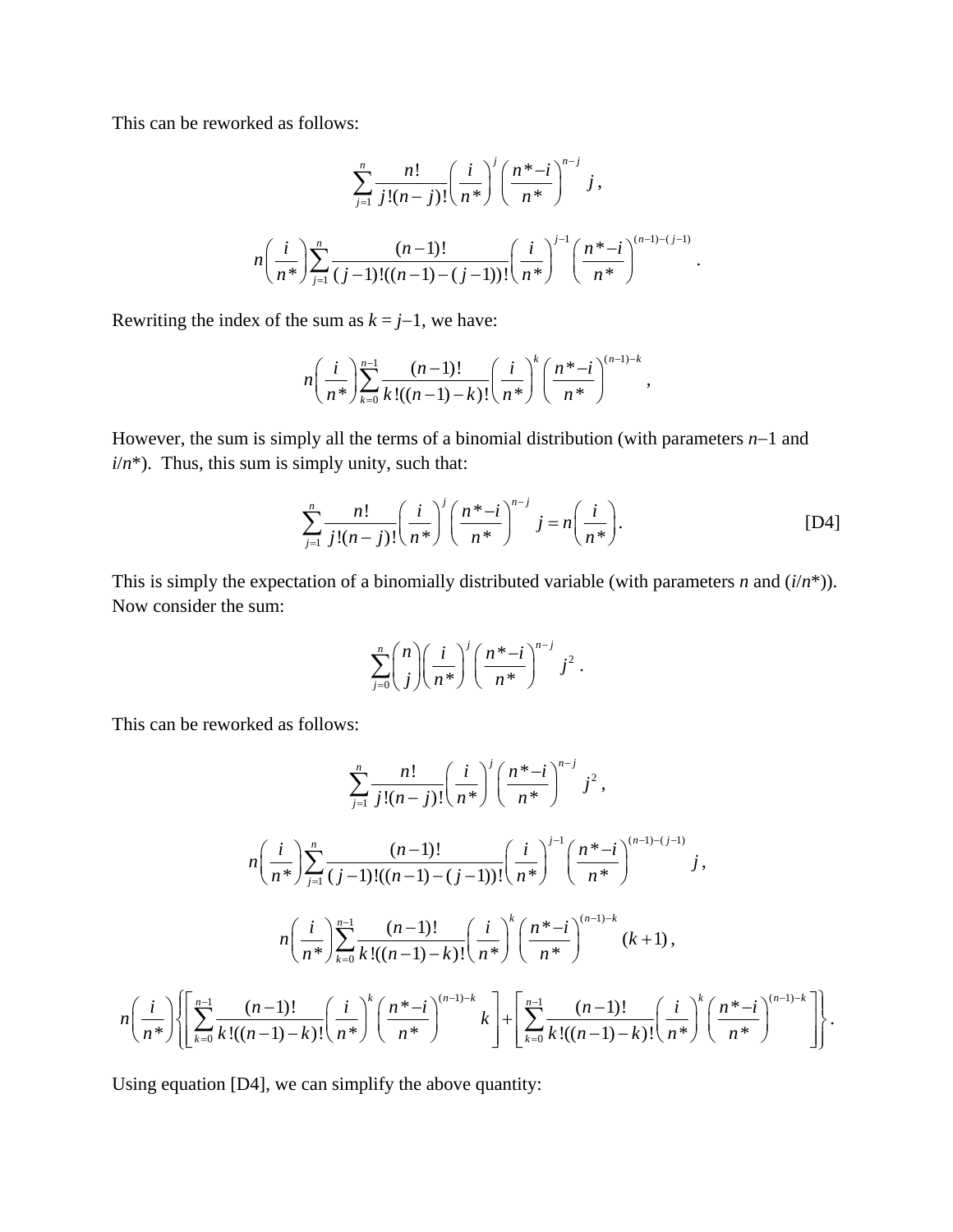This can be reworked as follows:

$$
\sum_{j=1}^{n} \frac{n!}{j!(n-j)!} \left(\frac{i}{n^{*}}\right)^j \left(\frac{n^{*}-i}{n^{*}}\right)^{n-j} j,
$$
\n
$$
n\left(\frac{i}{n^{*}}\right) \sum_{j=1}^{n} \frac{(n-1)!}{(j-1)!(n-1)-(j-1))!} \left(\frac{i}{n^{*}}\right)^{j-1} \left(\frac{n^{*}-i}{n^{*}}\right)^{(n-1)-(j-1)}.
$$

Rewriting the index of the sum as  $k = j-1$ , we have:

$$
n\left(\frac{i}{n^*}\right) \sum_{k=0}^{n-1} \frac{(n-1)!}{k!((n-1)-k)!} \left(\frac{i}{n^*}\right)^k \left(\frac{n^*-i}{n^*}\right)^{(n-1)-k},
$$

However, the sum is simply all the terms of a binomial distribution (with parameters *n*−1 and  $i/n^*$ ). Thus, this sum is simply unity, such that:

$$
\sum_{j=1}^{n} \frac{n!}{j!(n-j)!} \left(\frac{i}{n^*}\right)^j \left(\frac{n^*-i}{n^*}\right)^{n-j} j = n\left(\frac{i}{n^*}\right).
$$
 [D4]

This is simply the expectation of a binomially distributed variable (with parameters *n* and (*i*/*n*\*)). Now consider the sum:

$$
\sum_{j=0}^n \binom{n}{j} \left(\frac{i}{n^*}\right)^j \left(\frac{n^*-i}{n^*}\right)^{n-j} j^2.
$$

This can be reworked as follows:

$$
\sum_{j=1}^{n} \frac{n!}{j!(n-j)!} \left(\frac{i}{n^{*}}\right)^j \left(\frac{n^{*}-i}{n^{*}}\right)^{n-j} j^2,
$$
\n
$$
n\left(\frac{i}{n^{*}}\right) \sum_{j=1}^{n} \frac{(n-1)!}{(j-1)!(n-1)-(j-1))!} \left(\frac{i}{n^{*}}\right)^{j-1} \left(\frac{n^{*}-i}{n^{*}}\right)^{(n-1)-(j-1)} j,
$$
\n
$$
n\left(\frac{i}{n^{*}}\right) \sum_{k=0}^{n-1} \frac{(n-1)!}{k!(n-1)-k} \left(\frac{i}{n^{*}}\right)^k \left(\frac{n^{*}-i}{n^{*}}\right)^{(n-1)-k} (k+1),
$$
\n
$$
n\left(\frac{i}{n^{*}}\right) \left\{\left[\sum_{k=0}^{n-1} \frac{(n-1)!}{k!(n-1)-k} \left(\frac{i}{n^{*}}\right)^k \left(\frac{n^{*}-i}{n^{*}}\right)^{(n-1)-k} k\right] + \left[\sum_{k=0}^{n-1} \frac{(n-1)!}{k!(n-1)-k} \left(\frac{i}{n^{*}}\right)^k \left(\frac{n^{*}-i}{n^{*}}\right)^{(n-1)-k}\right]\right\}.
$$

Using equation [D4], we can simplify the above quantity: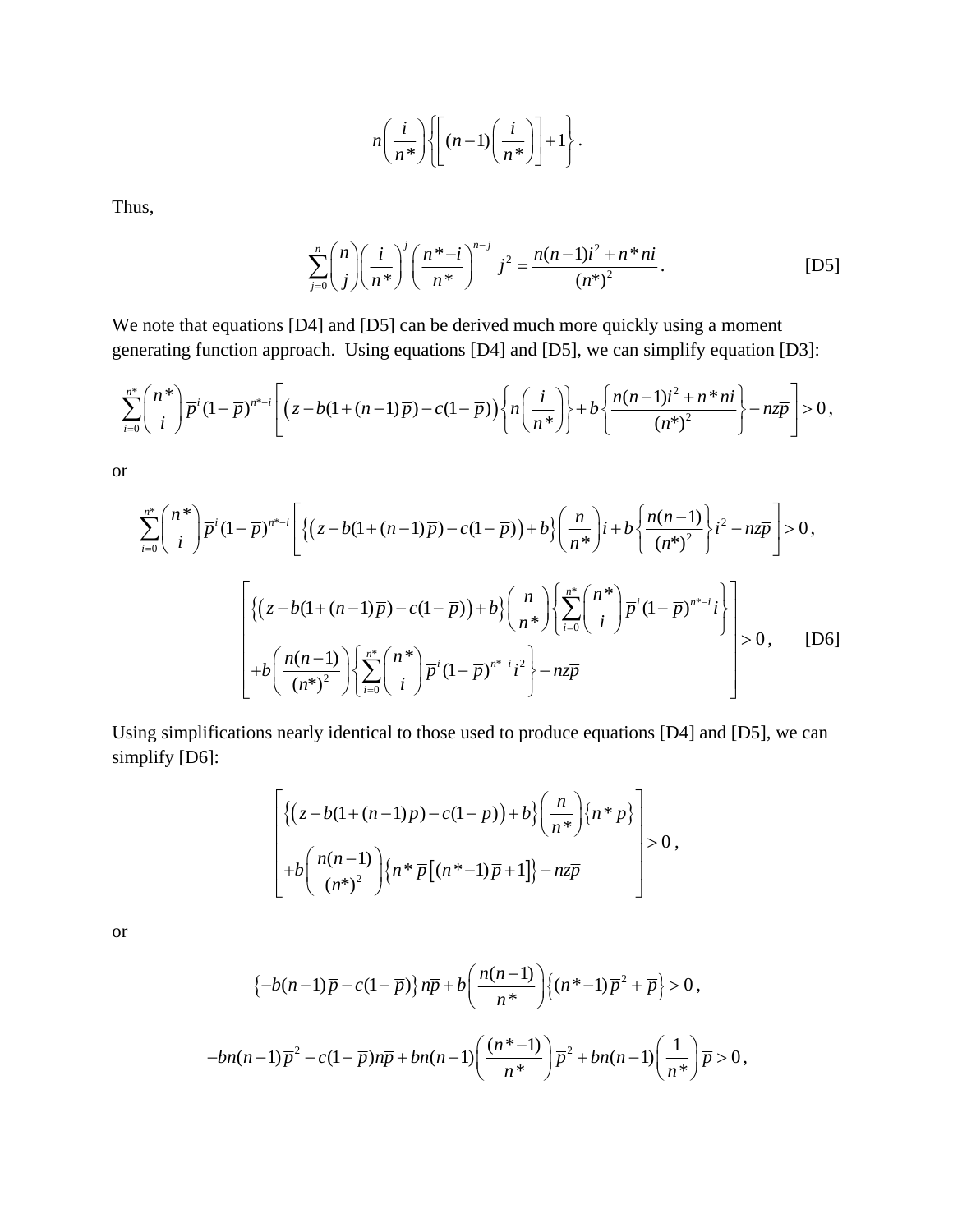$$
n\left(\frac{i}{n^*}\right)\left\{\left[(n-1)\left(\frac{i}{n^*}\right)\right]+1\right\}.
$$

Thus,

$$
\sum_{j=0}^{n} {n \choose j} \left(\frac{i}{n^{*}}\right)^j \left(\frac{n^{*}-i}{n^{*}}\right)^{n-j} j^2 = \frac{n(n-1)i^2 + n^{*}ni}{(n^{*})^2}.
$$
 [D5]

We note that equations [D4] and [D5] can be derived much more quickly using a moment generating function approach. Using equations [D4] and [D5], we can simplify equation [D3]:

$$
\sum_{i=0}^{n^*} {n^* \choose i} \overline{p}^i (1-\overline{p})^{n^*-i} \left[ \left( z - b(1+(n-1)\overline{p}) - c(1-\overline{p}) \right) \left\{ n \left( \frac{i}{n^*} \right) \right\} + b \left\{ \frac{n(n-1)i^2 + n^* ni}{(n^*)^2} \right\} - n z \overline{p} \right] > 0,
$$

or

$$
\sum_{i=0}^{n^{*}} {n^{*} \choose i} \overline{p}^{i} (1 - \overline{p})^{n^{*}-i} \left[ \left\{ (z - b(1 + (n-1)\overline{p}) - c(1 - \overline{p})) + b \right\} \left( \frac{n}{n^{*}} \right) i + b \left\{ \frac{n(n-1)}{(n^{*})^{2}} \right\} i^{2} - n z \overline{p} \right] > 0,
$$
  

$$
\left[ \left\{ (z - b(1 + (n-1)\overline{p}) - c(1 - \overline{p})) + b \right\} \left( \frac{n}{n^{*}} \right) \left\{ \sum_{i=0}^{n^{*}} {n^{*} \choose i} \overline{p}^{i} (1 - \overline{p})^{n^{*}-i} i^{2} \right\} - n z \overline{p} \right] > 0, \quad [D6]
$$

Using simplifications nearly identical to those used to produce equations [D4] and [D5], we can simplify [D6]:

$$
\left[\left\{\left(z-b(1+(n-1)\overline{p})-c(1-\overline{p})\right)+b\right\}\left(\frac{n}{n^*}\right)\left\{n^*\overline{p}\right\}\right] > 0, \\
+b\left(\frac{n(n-1)}{\left(n^*\right)^2}\right)\left\{n^*\overline{p}\left[(n^*-1)\overline{p}+1\right]\right\}-nz\overline{p}\right\} > 0,
$$

or

$$
\left\{-b(n-1)\overline{p}-c(1-\overline{p})\right\}n\overline{p}+b\left(\frac{n(n-1)}{n^*}\right)\left\{(n^*-1)\overline{p}^2+\overline{p}\right\}>0,
$$
  

$$
-bn(n-1)\overline{p}^2-c(1-\overline{p})n\overline{p}+bn(n-1)\left(\frac{(n^*-1)}{n^*}\right)\overline{p}^2+bn(n-1)\left(\frac{1}{n^*}\right)\overline{p}>0,
$$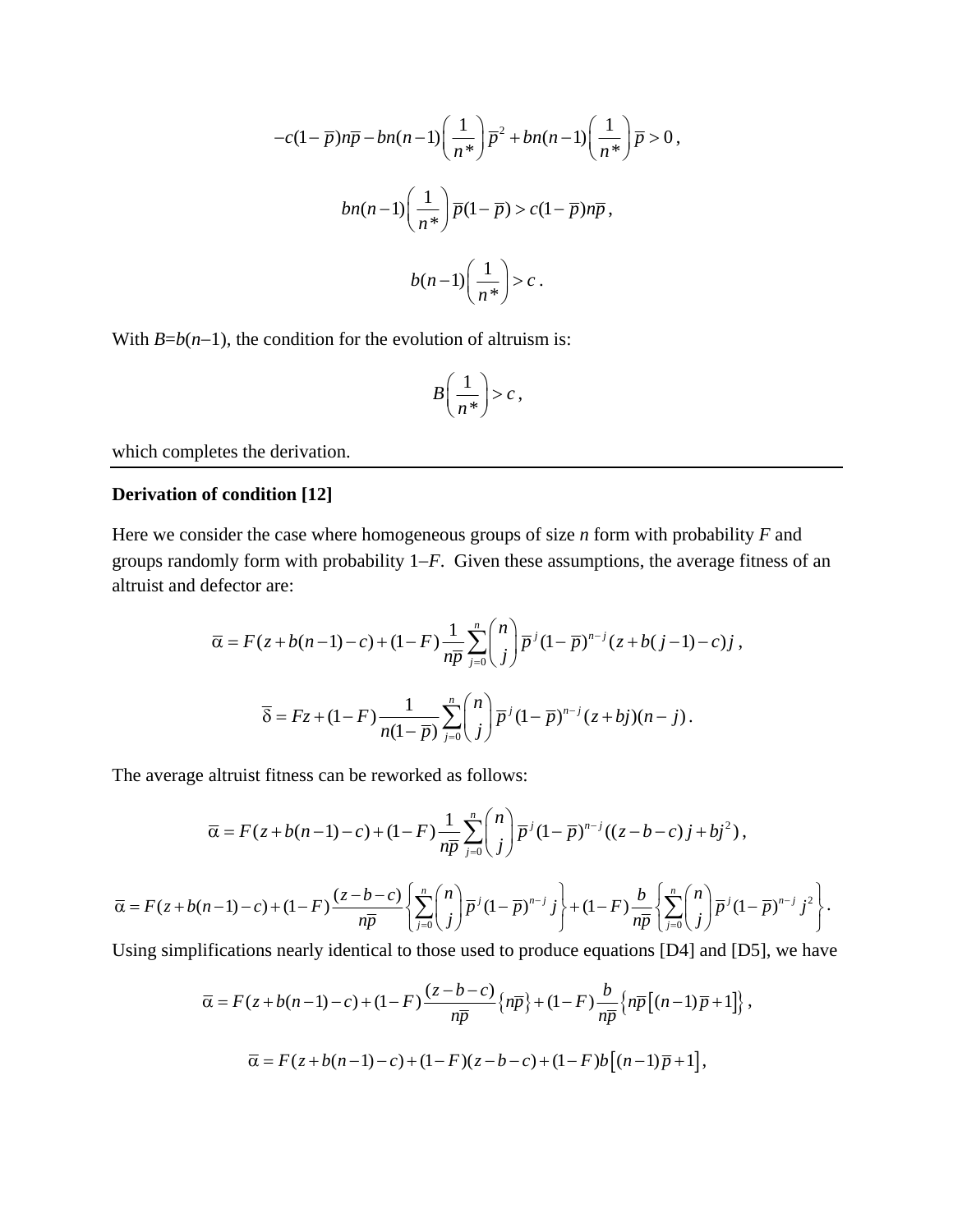$$
-c(1-\overline{p})n\overline{p} - bn(n-1)\left(\frac{1}{n^*}\right)\overline{p}^2 + bn(n-1)\left(\frac{1}{n^*}\right)\overline{p} > 0,
$$
  

$$
bn(n-1)\left(\frac{1}{n^*}\right)\overline{p}(1-\overline{p}) > c(1-\overline{p})n\overline{p},
$$
  

$$
b(n-1)\left(\frac{1}{n^*}\right) > c.
$$

With  $B=b(n-1)$ , the condition for the evolution of altruism is:

$$
B\left(\frac{1}{n^*}\right) > c\,,
$$

which completes the derivation.

## **Derivation of condition [12]**

Here we consider the case where homogeneous groups of size *n* form with probability *F* and groups randomly form with probability 1−*F*. Given these assumptions, the average fitness of an altruist and defector are:

$$
\overline{\alpha} = F(z + b(n-1) - c) + (1 - F) \frac{1}{n\overline{p}} \sum_{j=0}^{n} {n \choose j} \overline{p}^{j} (1 - \overline{p})^{n-j} (z + b(j-1) - c)j,
$$
  

$$
\overline{\delta} = Fz + (1 - F) \frac{1}{n(1 - \overline{p})} \sum_{j=0}^{n} {n \choose j} \overline{p}^{j} (1 - \overline{p})^{n-j} (z + bj)(n - j).
$$

The average altruist fitness can be reworked as follows:

$$
\overline{\alpha} = F(z + b(n-1) - c) + (1 - F) \frac{1}{n\overline{p}} \sum_{j=0}^{n} {n \choose j} \overline{p}^{j} (1 - \overline{p})^{n-j} ((z - b - c)j + bj^{2}),
$$
  

$$
\overline{\alpha} = F(z + b(n-1) - c) + (1 - F) \frac{(z - b - c)}{n\overline{p}} \left\{ \sum_{j=0}^{n} {n \choose j} \overline{p}^{j} (1 - \overline{p})^{n-j} j \right\} + (1 - F) \frac{b}{n\overline{p}} \left\{ \sum_{j=0}^{n} {n \choose j} \overline{p}^{j} (1 - \overline{p})^{n-j} j^{2} \right\}.
$$

Using simplifications nearly identical to those used to produce equations [D4] and [D5], we have

$$
\overline{\alpha} = F(z+b(n-1)-c) + (1-F)\frac{(z-b-c)}{n\overline{p}}\left\{n\overline{p}\right\} + (1-F)\frac{b}{n\overline{p}}\left\{n\overline{p}\left[(n-1)\overline{p}+1\right]\right\},\
$$

$$
\overline{\alpha} = F(z+b(n-1)-c) + (1-F)(z-b-c) + (1-F)b\left[(n-1)\overline{p}+1\right],
$$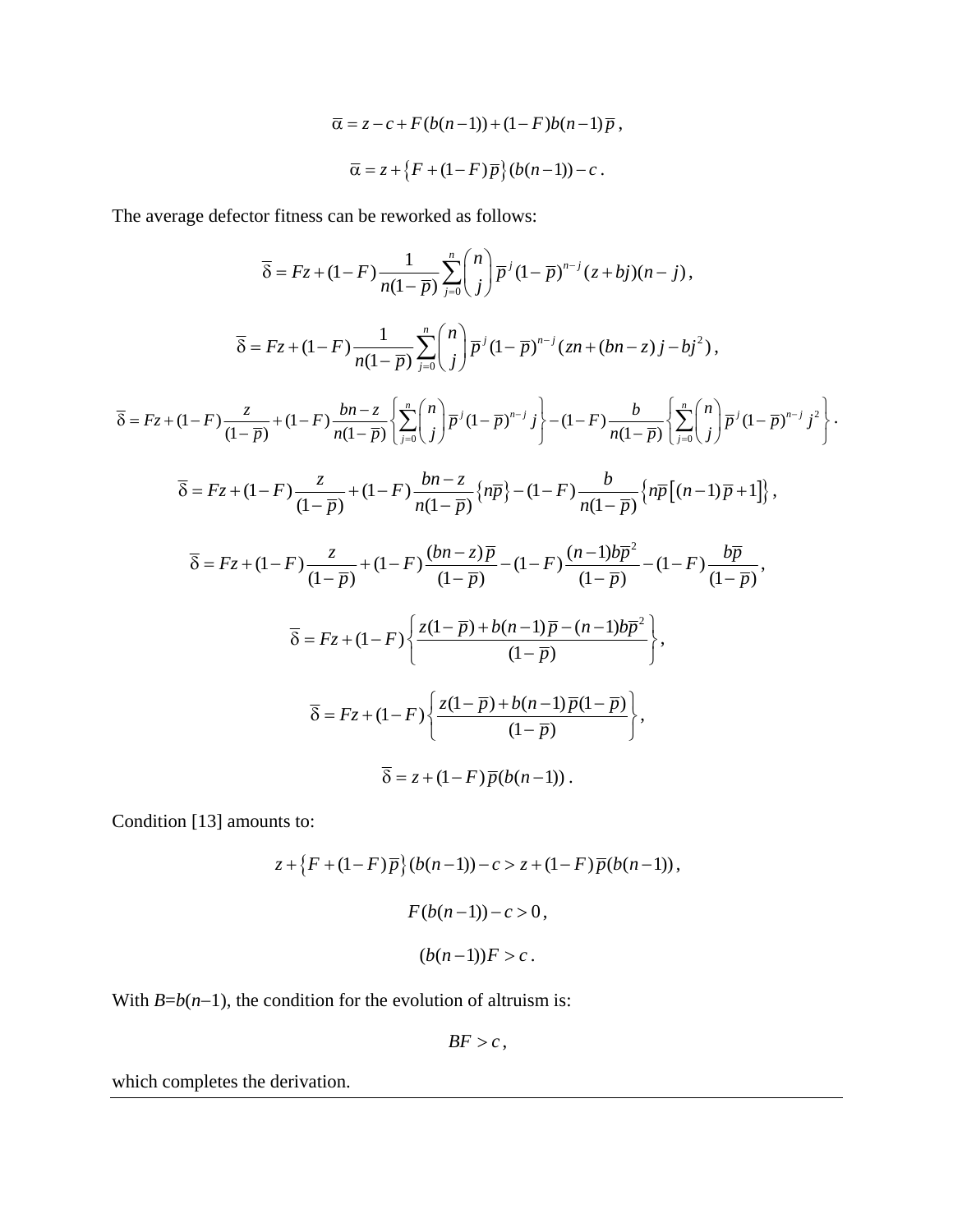$$
\overline{\alpha} = z - c + F(b(n-1)) + (1 - F)b(n-1)\overline{p},
$$
  

$$
\overline{\alpha} = z + \{F + (1 - F)\overline{p}\}(b(n-1)) - c.
$$

The average defector fitness can be reworked as follows:

$$
\overline{\delta} = Fz + (1 - F) \frac{1}{n(1 - \overline{p})} \sum_{j=0}^{n} {n \choose j} \overline{p}^{j} (1 - \overline{p})^{n-j} (z + bj)(n - j),
$$
\n
$$
\overline{\delta} = Fz + (1 - F) \frac{1}{n(1 - \overline{p})} \sum_{j=0}^{n} {n \choose j} \overline{p}^{j} (1 - \overline{p})^{n-j} (zn + (bn - z)j - bj^{2}),
$$
\n
$$
\overline{\delta} = Fz + (1 - F) \frac{z}{(1 - \overline{p})} + (1 - F) \frac{bn - z}{n(1 - \overline{p})} \left\{ \sum_{j=0}^{n} {n \choose j} \overline{p}^{j} (1 - \overline{p})^{n-j} j \right\} - (1 - F) \frac{b}{n(1 - \overline{p})} \left\{ \sum_{j=0}^{n} {n \choose j} \overline{p}^{j} (1 - \overline{p})^{n-j} j^{2} \right\}.
$$
\n
$$
\overline{\delta} = Fz + (1 - F) \frac{z}{(1 - \overline{p})} + (1 - F) \frac{bn - z}{n(1 - \overline{p})} \left\{ n \overline{p} \right\} - (1 - F) \frac{b}{n(1 - \overline{p})} \left\{ n \overline{p} \left[ (n - 1) \overline{p} + 1 \right] \right\},
$$
\n
$$
\overline{\delta} = Fz + (1 - F) \frac{z}{(1 - \overline{p})} + (1 - F) \frac{(bn - z)\overline{p}}{(1 - \overline{p})} - (1 - F) \frac{(n - 1)b\overline{p}^{2}}{(1 - \overline{p})} - (1 - F) \frac{b\overline{p}}{(1 - \overline{p})},
$$
\n
$$
\overline{\delta} = Fz + (1 - F) \left\{ \frac{z(1 - \overline{p}) + b(n - 1)\overline{p} - (n - 1)b\overline{p}^{2}}{(1 - \overline{p})} \right\},
$$
\n
$$
\overline{\delta} = Fz + (1 - F) \left\{ \frac{z(1 - \overline{p}) + b(n - 1)\overline{p}(1 - \overline{p})}{(
$$

Condition [13] amounts to:

$$
z + \{F + (1 - F)\overline{p}\}(b(n-1)) - c > z + (1 - F)\overline{p}(b(n-1)),
$$
\n
$$
F(b(n-1)) - c > 0,
$$
\n
$$
(b(n-1))F > c.
$$

With  $B=b(n-1)$ , the condition for the evolution of altruism is:

$$
BF>c,
$$

which completes the derivation.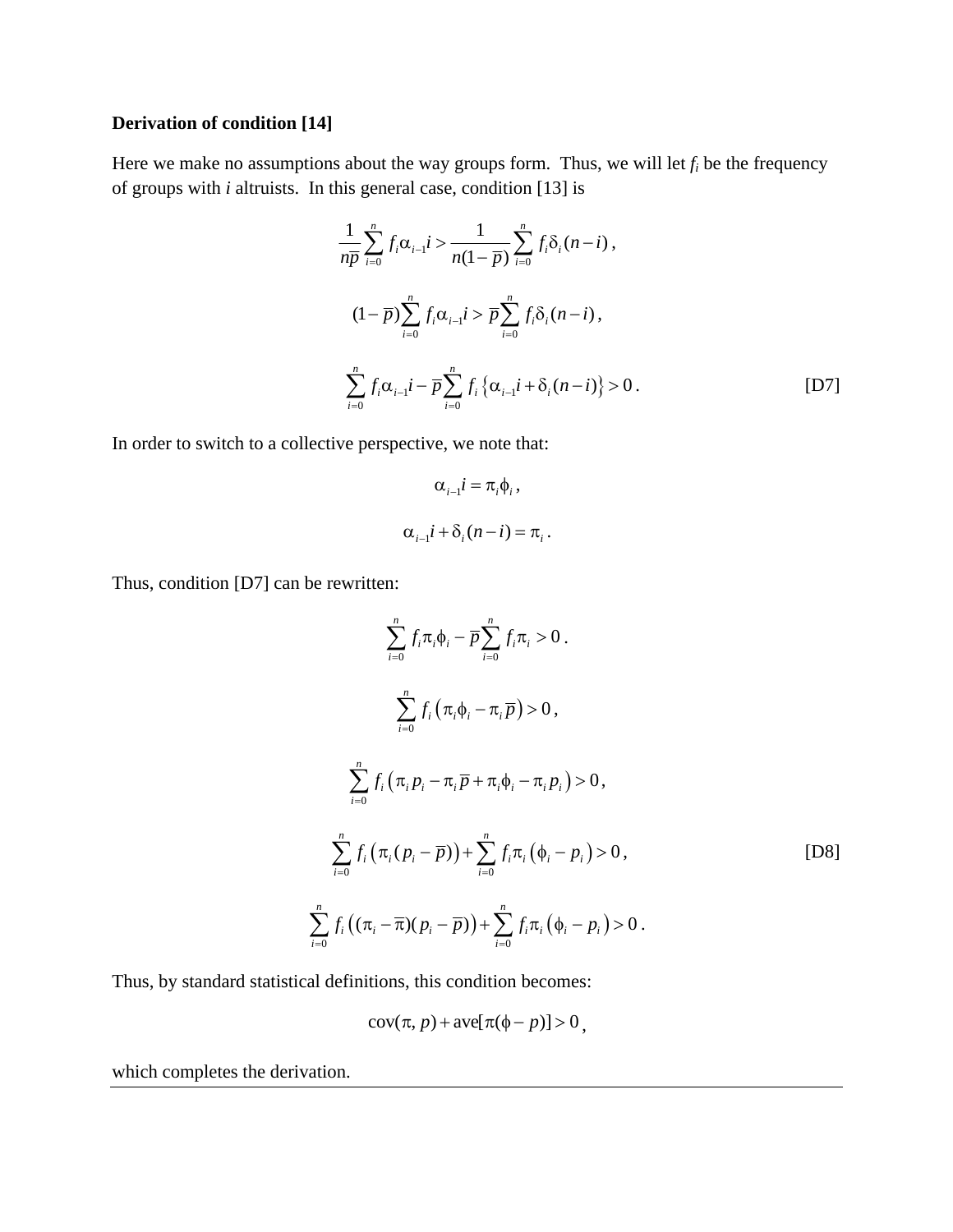## **Derivation of condition [14]**

Here we make no assumptions about the way groups form. Thus, we will let  $f_i$  be the frequency of groups with *i* altruists. In this general case, condition [13] is

$$
\frac{1}{n\overline{p}}\sum_{i=0}^{n}f_{i}\alpha_{i-1}i > \frac{1}{n(1-\overline{p})}\sum_{i=0}^{n}f_{i}\delta_{i}(n-i),
$$
  

$$
(1-\overline{p})\sum_{i=0}^{n}f_{i}\alpha_{i-1}i > \overline{p}\sum_{i=0}^{n}f_{i}\delta_{i}(n-i),
$$
  

$$
\sum_{i=0}^{n}f_{i}\alpha_{i-1}i - \overline{p}\sum_{i=0}^{n}f_{i}\{\alpha_{i-1}i + \delta_{i}(n-i)\} > 0.
$$
 [D7]

In order to switch to a collective perspective, we note that:

$$
\alpha_{i-1}i = \pi_i \phi_i ,
$$
  

$$
\alpha_{i-1}i + \delta_i (n - i) = \pi_i .
$$

Thus, condition [D7] can be rewritten:

$$
\sum_{i=0}^{n} f_{i} \pi_{i} \phi_{i} - \overline{p} \sum_{i=0}^{n} f_{i} \pi_{i} > 0.
$$
\n
$$
\sum_{i=0}^{n} f_{i} (\pi_{i} \phi_{i} - \pi_{i} \overline{p}) > 0,
$$
\n
$$
\sum_{i=0}^{n} f_{i} (\pi_{i} p_{i} - \pi_{i} \overline{p} + \pi_{i} \phi_{i} - \pi_{i} p_{i}) > 0,
$$
\n
$$
\sum_{i=0}^{n} f_{i} (\pi_{i} (p_{i} - \overline{p})) + \sum_{i=0}^{n} f_{i} \pi_{i} (\phi_{i} - p_{i}) > 0,
$$
\n[DS]

Thus, by standard statistical definitions, this condition becomes:

$$
cov(\pi, p) + ave[\pi(\phi - p)] > 0,
$$

which completes the derivation.